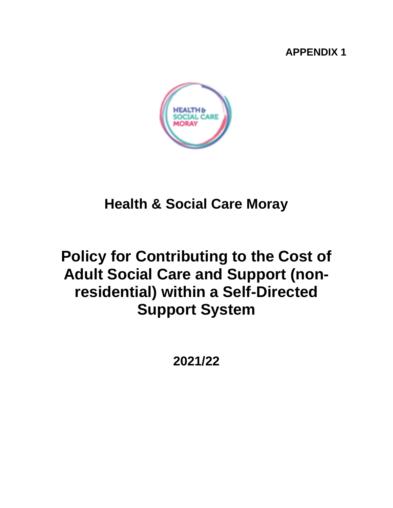## **APPENDIX 1**



# **Health & Social Care Moray**

# **Policy for Contributing to the Cost of Adult Social Care and Support (nonresidential) within a Self-Directed Support System**

**2021/22**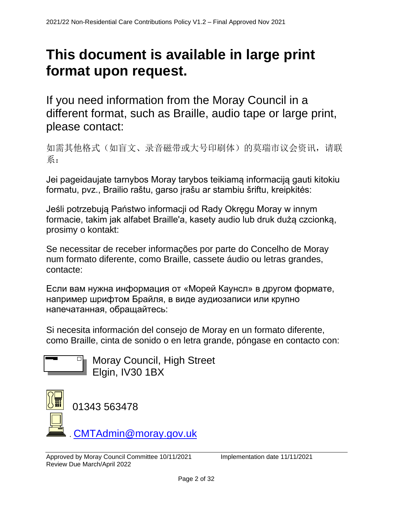# **This document is available in large print format upon request.**

If you need information from the Moray Council in a different format, such as Braille, audio tape or large print, please contact:

如需其他格式(如盲文、录音磁带或大号印刷体)的莫瑞市议会资讯,请联 系:

Jei pageidaujate tarnybos Moray tarybos teikiamą informaciją gauti kitokiu formatu, pvz., Brailio raštu, garso įrašu ar stambiu šriftu, kreipkitės:

Jeśli potrzebują Państwo informacji od Rady Okręgu Moray w innym formacie, takim jak alfabet Braille'a, kasety audio lub druk dużą czcionką, prosimy o kontakt:

Se necessitar de receber informações por parte do Concelho de Moray num formato diferente, como Braille, cassete áudio ou letras grandes, contacte:

Если вам нужна информация от «Морей Каунсл» в другом формате, например шрифтом Брайля, в виде аудиозаписи или крупно напечатанная, обращайтесь:

Si necesita información del consejo de Moray en un formato diferente, como Braille, cinta de sonido o en letra grande, póngase en contacto con:



Moray Council, High Street Elgin, IV30 1BX

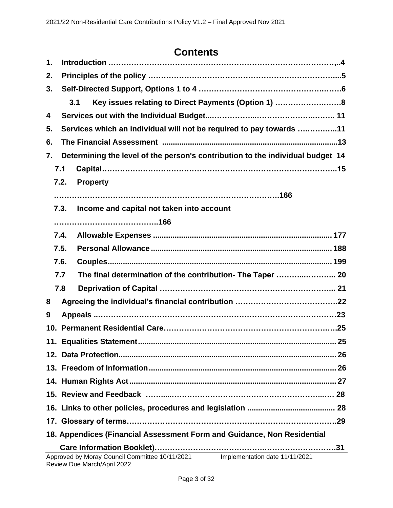# **Contents**

| 1.                                                                                                           |                                                                     | Introduction ……………………………………………………………………………………4             |  |
|--------------------------------------------------------------------------------------------------------------|---------------------------------------------------------------------|------------------------------------------------------------|--|
| 2.                                                                                                           |                                                                     |                                                            |  |
| 3.                                                                                                           |                                                                     |                                                            |  |
|                                                                                                              |                                                                     | Key issues relating to Direct Payments (Option 1) 8<br>3.1 |  |
| 4                                                                                                            |                                                                     |                                                            |  |
| 5.                                                                                                           | Services which an individual will not be required to pay towards 11 |                                                            |  |
| 6.                                                                                                           |                                                                     |                                                            |  |
| Determining the level of the person's contribution to the individual budget 14<br>7.                         |                                                                     |                                                            |  |
|                                                                                                              | 7.1                                                                 |                                                            |  |
|                                                                                                              | 7.2.                                                                | <b>Property</b>                                            |  |
|                                                                                                              |                                                                     |                                                            |  |
|                                                                                                              | 7.3.                                                                | Income and capital not taken into account                  |  |
|                                                                                                              |                                                                     |                                                            |  |
|                                                                                                              | 7.4.                                                                |                                                            |  |
|                                                                                                              | 7.5.                                                                |                                                            |  |
|                                                                                                              | 7.6.                                                                |                                                            |  |
|                                                                                                              | 7.7                                                                 | The final determination of the contribution- The Taper  20 |  |
|                                                                                                              | 7.8                                                                 |                                                            |  |
| 8                                                                                                            |                                                                     |                                                            |  |
| 9                                                                                                            |                                                                     |                                                            |  |
|                                                                                                              |                                                                     |                                                            |  |
|                                                                                                              |                                                                     |                                                            |  |
|                                                                                                              |                                                                     |                                                            |  |
|                                                                                                              |                                                                     |                                                            |  |
|                                                                                                              |                                                                     |                                                            |  |
|                                                                                                              |                                                                     |                                                            |  |
|                                                                                                              |                                                                     |                                                            |  |
|                                                                                                              |                                                                     |                                                            |  |
| 18. Appendices (Financial Assessment Form and Guidance, Non Residential                                      |                                                                     |                                                            |  |
| Approved by Moray Council Committee 10/11/2021 Implementation date 11/11/2021<br>Review Due March/April 2022 |                                                                     |                                                            |  |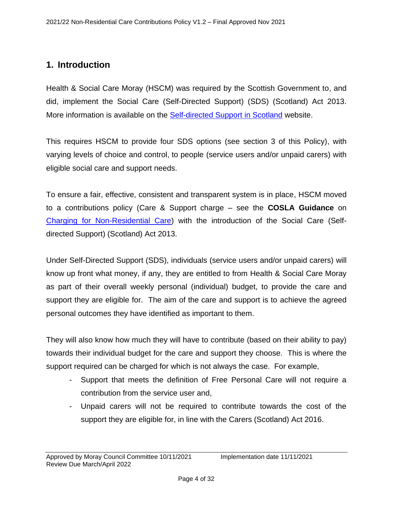## <span id="page-3-0"></span>**1. Introduction**

Health & Social Care Moray (HSCM) was required by the Scottish Government to, and did, implement the Social Care (Self-Directed Support) (SDS) (Scotland) Act 2013. More information is available on the **Self-directed Support in Scotland** website.

This requires HSCM to provide four SDS options (see section 3 of this Policy), with varying levels of choice and control, to people (service users and/or unpaid carers) with eligible social care and support needs.

To ensure a fair, effective, consistent and transparent system is in place, HSCM moved to a contributions policy (Care & Support charge – see the **COSLA Guidance** on [Charging for Non-Residential Care\)](https://www.cosla.gov.uk/about-cosla/our-teams/health-and-social-care/social-care-charging-information) with the introduction of the Social Care (Selfdirected Support) (Scotland) Act 2013.

Under Self-Directed Support (SDS), individuals (service users and/or unpaid carers) will know up front what money, if any, they are entitled to from Health & Social Care Moray as part of their overall weekly personal (individual) budget, to provide the care and support they are eligible for. The aim of the care and support is to achieve the agreed personal outcomes they have identified as important to them.

They will also know how much they will have to contribute (based on their ability to pay) towards their individual budget for the care and support they choose. This is where the support required can be charged for which is not always the case. For example,

- Support that meets the definition of Free Personal Care will not require a contribution from the service user and,
- Unpaid carers will not be required to contribute towards the cost of the support they are eligible for, in line with the Carers (Scotland) Act 2016.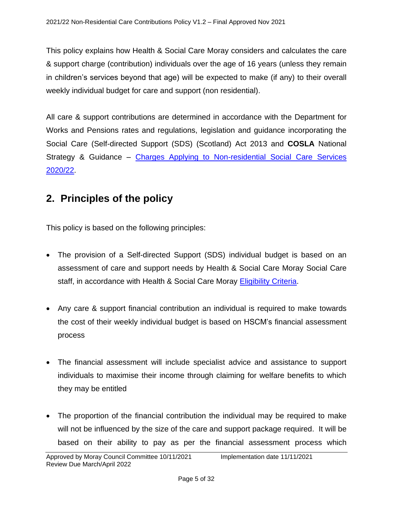This policy explains how Health & Social Care Moray considers and calculates the care & support charge (contribution) individuals over the age of 16 years (unless they remain in children's services beyond that age) will be expected to make (if any) to their overall weekly individual budget for care and support (non residential).

All care & support contributions are determined in accordance with the Department for Works and Pensions rates and regulations, legislation and guidance incorporating the Social Care (Self-directed Support (SDS) (Scotland) Act 2013 and **COSLA** National Strategy & Guidance – [Charges Applying to Non-residential Social](https://www.cosla.gov.uk/about-cosla/our-teams/health-and-social-care/social-care-charging-information) Care Services [2020/22.](https://www.cosla.gov.uk/about-cosla/our-teams/health-and-social-care/social-care-charging-information)

## <span id="page-4-0"></span>**2. Principles of the policy**

This policy is based on the following principles:

- The provision of a Self-directed Support (SDS) individual budget is based on an assessment of care and support needs by Health & Social Care Moray Social Care staff, in accordance with Health & Social Care Moray [Eligibility Criteria.](http://interchange.moray.gov.uk/int_standard/Page_132716.html)
- Any care & support financial contribution an individual is required to make towards the cost of their weekly individual budget is based on HSCM's financial assessment process
- The financial assessment will include specialist advice and assistance to support individuals to maximise their income through claiming for welfare benefits to which they may be entitled
- The proportion of the financial contribution the individual may be required to make will not be influenced by the size of the care and support package required. It will be based on their ability to pay as per the financial assessment process which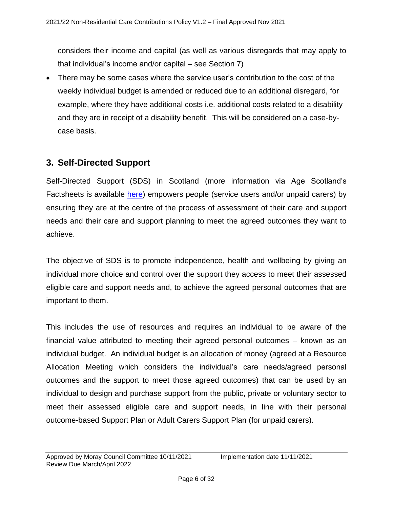considers their income and capital (as well as various disregards that may apply to that individual's income and/or capital – see Section 7)

• There may be some cases where the service user's contribution to the cost of the weekly individual budget is amended or reduced due to an additional disregard, for example, where they have additional costs i.e. additional costs related to a disability and they are in receipt of a disability benefit. This will be considered on a case-bycase basis.

## <span id="page-5-0"></span>**3. Self-Directed Support**

Self-Directed Support (SDS) in Scotland (more information via Age Scotland's Factsheets is available [here\)](https://www.ageuk.org.uk/scotland/information-advice/care-and-support/care-at-home/) empowers people (service users and/or unpaid carers) by ensuring they are at the centre of the process of assessment of their care and support needs and their care and support planning to meet the agreed outcomes they want to achieve.

The objective of SDS is to promote independence, health and wellbeing by giving an individual more choice and control over the support they access to meet their assessed eligible care and support needs and, to achieve the agreed personal outcomes that are important to them.

This includes the use of resources and requires an individual to be aware of the financial value attributed to meeting their agreed personal outcomes – known as an individual budget. An individual budget is an allocation of money (agreed at a Resource Allocation Meeting which considers the individual's care needs/agreed personal outcomes and the support to meet those agreed outcomes) that can be used by an individual to design and purchase support from the public, private or voluntary sector to meet their assessed eligible care and support needs, in line with their personal outcome-based Support Plan or Adult Carers Support Plan (for unpaid carers).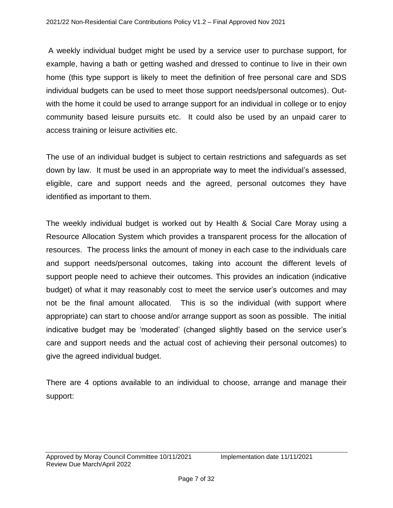A weekly individual budget might be used by a service user to purchase support, for example, having a bath or getting washed and dressed to continue to live in their own home (this type support is likely to meet the definition of free personal care and SDS individual budgets can be used to meet those support needs/personal outcomes). Outwith the home it could be used to arrange support for an individual in college or to enjoy community based leisure pursuits etc. It could also be used by an unpaid carer to access training or leisure activities etc.

The use of an individual budget is subject to certain restrictions and safeguards as set down by law. It must be used in an appropriate way to meet the individual's assessed, eligible, care and support needs and the agreed, personal outcomes they have identified as important to them.

The weekly individual budget is worked out by Health & Social Care Moray using a Resource Allocation System which provides a transparent process for the allocation of resources. The process links the amount of money in each case to the individuals care and support needs/personal outcomes, taking into account the different levels of support people need to achieve their outcomes. This provides an indication (indicative budget) of what it may reasonably cost to meet the service user's outcomes and may not be the final amount allocated. This is so the individual (with support where appropriate) can start to choose and/or arrange support as soon as possible. The initial indicative budget may be 'moderated' (changed slightly based on the service user's care and support needs and the actual cost of achieving their personal outcomes) to give the agreed individual budget.

There are 4 options available to an individual to choose, arrange and manage their support: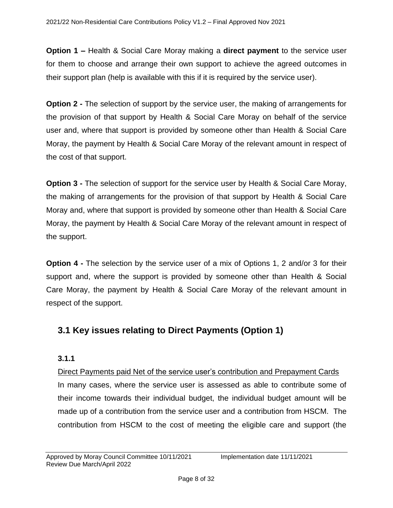**Option 1 –** Health & Social Care Moray making a **direct payment** to the service user for them to choose and arrange their own support to achieve the agreed outcomes in their support plan (help is available with this if it is required by the service user).

**Option 2 -** The selection of support by the service user, the making of arrangements for the provision of that support by Health & Social Care Moray on behalf of the service user and, where that support is provided by someone other than Health & Social Care Moray, the payment by Health & Social Care Moray of the relevant amount in respect of the cost of that support.

**Option 3 -** The selection of support for the service user by Health & Social Care Moray, the making of arrangements for the provision of that support by Health & Social Care Moray and, where that support is provided by someone other than Health & Social Care Moray, the payment by Health & Social Care Moray of the relevant amount in respect of the support.

**Option 4 -** The selection by the service user of a mix of Options 1, 2 and/or 3 for their support and, where the support is provided by someone other than Health & Social Care Moray, the payment by Health & Social Care Moray of the relevant amount in respect of the support.

## **3.1 Key issues relating to Direct Payments (Option 1)**

#### **3.1.1**

Direct Payments paid Net of the service user's contribution and Prepayment Cards In many cases, where the service user is assessed as able to contribute some of their income towards their individual budget, the individual budget amount will be made up of a contribution from the service user and a contribution from HSCM. The contribution from HSCM to the cost of meeting the eligible care and support (the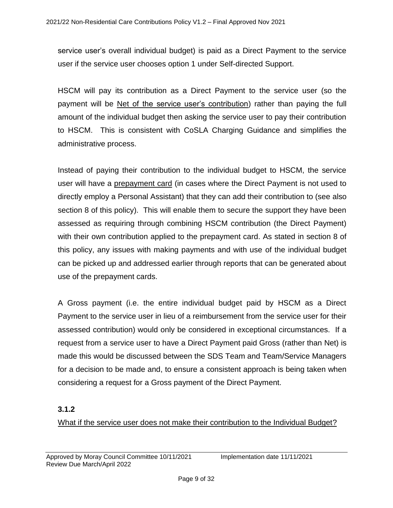service user's overall individual budget) is paid as a Direct Payment to the service user if the service user chooses option 1 under Self-directed Support.

HSCM will pay its contribution as a Direct Payment to the service user (so the payment will be Net of the service user's contribution) rather than paying the full amount of the individual budget then asking the service user to pay their contribution to HSCM. This is consistent with CoSLA Charging Guidance and simplifies the administrative process.

Instead of paying their contribution to the individual budget to HSCM, the service user will have a prepayment card (in cases where the Direct Payment is not used to directly employ a Personal Assistant) that they can add their contribution to (see also section 8 of this policy). This will enable them to secure the support they have been assessed as requiring through combining HSCM contribution (the Direct Payment) with their own contribution applied to the prepayment card. As stated in section 8 of this policy, any issues with making payments and with use of the individual budget can be picked up and addressed earlier through reports that can be generated about use of the prepayment cards.

A Gross payment (i.e. the entire individual budget paid by HSCM as a Direct Payment to the service user in lieu of a reimbursement from the service user for their assessed contribution) would only be considered in exceptional circumstances. If a request from a service user to have a Direct Payment paid Gross (rather than Net) is made this would be discussed between the SDS Team and Team/Service Managers for a decision to be made and, to ensure a consistent approach is being taken when considering a request for a Gross payment of the Direct Payment.

#### **3.1.2**

What if the service user does not make their contribution to the Individual Budget?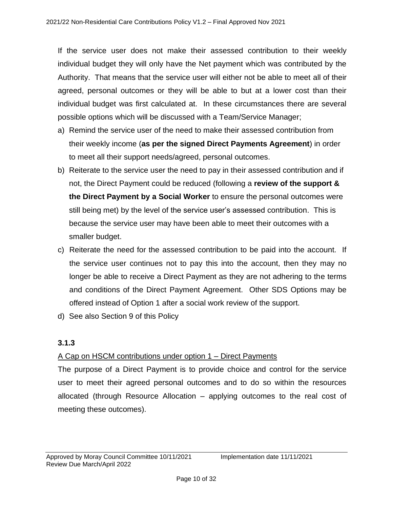If the service user does not make their assessed contribution to their weekly individual budget they will only have the Net payment which was contributed by the Authority. That means that the service user will either not be able to meet all of their agreed, personal outcomes or they will be able to but at a lower cost than their individual budget was first calculated at. In these circumstances there are several possible options which will be discussed with a Team/Service Manager;

- a) Remind the service user of the need to make their assessed contribution from their weekly income (**as per the signed Direct Payments Agreement**) in order to meet all their support needs/agreed, personal outcomes.
- b) Reiterate to the service user the need to pay in their assessed contribution and if not, the Direct Payment could be reduced (following a **review of the support & the Direct Payment by a Social Worker** to ensure the personal outcomes were still being met) by the level of the service user's assessed contribution. This is because the service user may have been able to meet their outcomes with a smaller budget.
- c) Reiterate the need for the assessed contribution to be paid into the account. If the service user continues not to pay this into the account, then they may no longer be able to receive a Direct Payment as they are not adhering to the terms and conditions of the Direct Payment Agreement. Other SDS Options may be offered instead of Option 1 after a social work review of the support.
- d) See also Section 9 of this Policy

#### **3.1.3**

#### A Cap on HSCM contributions under option 1 – Direct Payments

The purpose of a Direct Payment is to provide choice and control for the service user to meet their agreed personal outcomes and to do so within the resources allocated (through Resource Allocation – applying outcomes to the real cost of meeting these outcomes).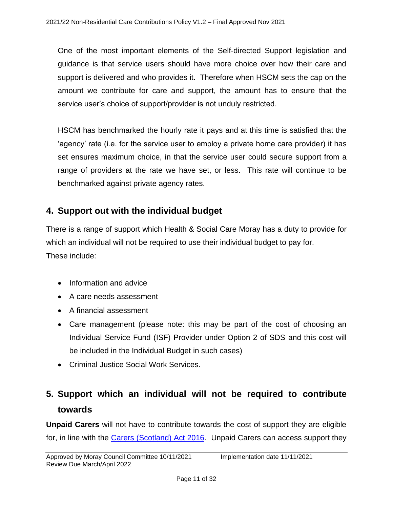One of the most important elements of the Self-directed Support legislation and guidance is that service users should have more choice over how their care and support is delivered and who provides it. Therefore when HSCM sets the cap on the amount we contribute for care and support, the amount has to ensure that the service user's choice of support/provider is not unduly restricted.

HSCM has benchmarked the hourly rate it pays and at this time is satisfied that the 'agency' rate (i.e. for the service user to employ a private home care provider) it has set ensures maximum choice, in that the service user could secure support from a range of providers at the rate we have set, or less. This rate will continue to be benchmarked against private agency rates.

## **4. Support out with the individual budget**

There is a range of support which Health & Social Care Moray has a duty to provide for which an individual will not be required to use their individual budget to pay for. These include:

- Information and advice
- A care needs assessment
- A financial assessment
- Care management (please note: this may be part of the cost of choosing an Individual Service Fund (ISF) Provider under Option 2 of SDS and this cost will be included in the Individual Budget in such cases)
- Criminal Justice Social Work Services.

## **5. Support which an individual will not be required to contribute towards**

**Unpaid Carers** will not have to contribute towards the cost of support they are eligible for, in line with the [Carers \(Scotland\) Act 2016.](https://www2.gov.scot/Topics/Health/Support-Social-Care/Unpaid-Carers/Implementation/Guidance) Unpaid Carers can access support they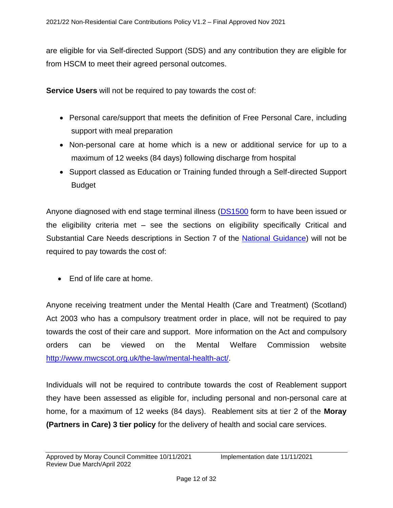are eligible for via Self-directed Support (SDS) and any contribution they are eligible for from HSCM to meet their agreed personal outcomes.

**Service Users** will not be required to pay towards the cost of:

- Personal care/support that meets the definition of Free Personal Care, including support with meal preparation
- Non-personal care at home which is a new or additional service for up to a maximum of 12 weeks (84 days) following discharge from hospital
- Support classed as Education or Training funded through a Self-directed Support **Budget**

Anyone diagnosed with end stage terminal illness [\(DS1500](https://www.mariecurie.org.uk/help/support/benefits-entitlements/benefits-social-care-system/ds1500-form) form to have been issued or the eligibility criteria met – see the sections on eligibility specifically Critical and Substantial Care Needs descriptions in Section 7 of the National [Guidance\)](https://www.gov.scot/binaries/content/documents/govscot/publications/advice-and-guidance/2015/01/personal-and-nursing-care-of-older-people--national-standard-criteria-and-waiting-times-guidance/documents/personal-and-nursing-care-of-older-people---national) will not be required to pay towards the cost of:

• End of life care at home.

Anyone receiving treatment under the Mental Health (Care and Treatment) (Scotland) Act 2003 who has a compulsory treatment order in place, will not be required to pay towards the cost of their care and support. More information on the Act and compulsory orders can be viewed on the Mental Welfare Commission website [http://www.mwcscot.org.uk/the-law/mental-health-act/.](http://www.mwcscot.org.uk/the-law/mental-health-act/)

Individuals will not be required to contribute towards the cost of Reablement support they have been assessed as eligible for, including personal and non-personal care at home, for a maximum of 12 weeks (84 days). Reablement sits at tier 2 of the **Moray (Partners in Care) 3 tier policy** for the delivery of health and social care services.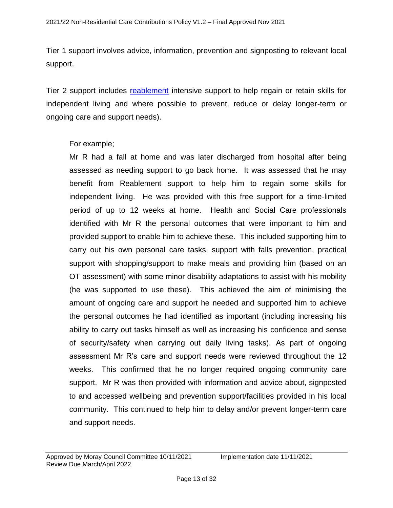Tier 1 support involves advice, information, prevention and signposting to relevant local support.

Tier 2 support includes [reablement](http://www.moray.gov.uk/moray_standard/page_79494.html) intensive support to help regain or retain skills for independent living and where possible to prevent, reduce or delay longer-term or ongoing care and support needs).

#### For example;

Mr R had a fall at home and was later discharged from hospital after being assessed as needing support to go back home. It was assessed that he may benefit from Reablement support to help him to regain some skills for independent living. He was provided with this free support for a time-limited period of up to 12 weeks at home. Health and Social Care professionals identified with Mr R the personal outcomes that were important to him and provided support to enable him to achieve these. This included supporting him to carry out his own personal care tasks, support with falls prevention, practical support with shopping/support to make meals and providing him (based on an OT assessment) with some minor disability adaptations to assist with his mobility (he was supported to use these). This achieved the aim of minimising the amount of ongoing care and support he needed and supported him to achieve the personal outcomes he had identified as important (including increasing his ability to carry out tasks himself as well as increasing his confidence and sense of security/safety when carrying out daily living tasks). As part of ongoing assessment Mr R's care and support needs were reviewed throughout the 12 weeks. This confirmed that he no longer required ongoing community care support. Mr R was then provided with information and advice about, signposted to and accessed wellbeing and prevention support/facilities provided in his local community. This continued to help him to delay and/or prevent longer-term care and support needs.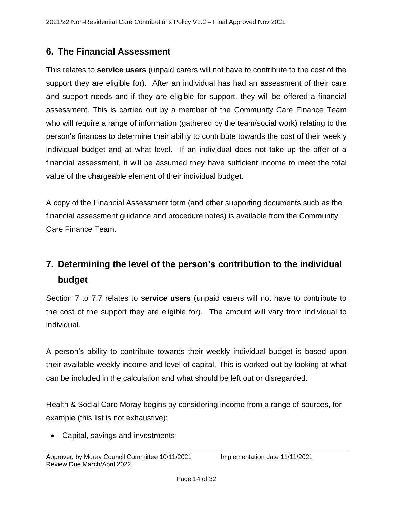## <span id="page-13-0"></span>**6. The Financial Assessment**

This relates to **service users** (unpaid carers will not have to contribute to the cost of the support they are eligible for). After an individual has had an assessment of their care and support needs and if they are eligible for support, they will be offered a financial assessment. This is carried out by a member of the Community Care Finance Team who will require a range of information (gathered by the team/social work) relating to the person's finances to determine their ability to contribute towards the cost of their weekly individual budget and at what level. If an individual does not take up the offer of a financial assessment, it will be assumed they have sufficient income to meet the total value of the chargeable element of their individual budget.

A copy of the Financial Assessment form (and other supporting documents such as the financial assessment guidance and procedure notes) is available from the Community Care Finance Team.

# **7. Determining the level of the person's contribution to the individual budget**

Section 7 to 7.7 relates to **service users** (unpaid carers will not have to contribute to the cost of the support they are eligible for). The amount will vary from individual to individual.

A person's ability to contribute towards their weekly individual budget is based upon their available weekly income and level of capital. This is worked out by looking at what can be included in the calculation and what should be left out or disregarded.

Health & Social Care Moray begins by considering income from a range of sources, for example (this list is not exhaustive):

• Capital, savings and investments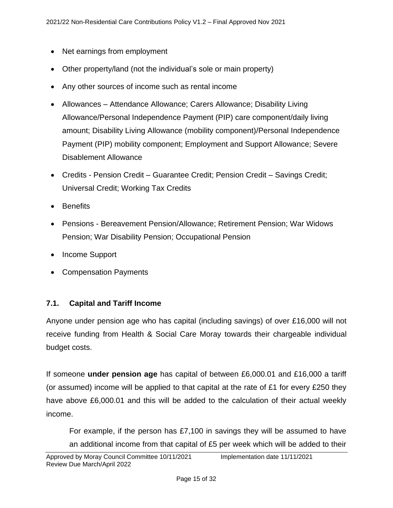- Net earnings from employment
- Other property/land (not the individual's sole or main property)
- Any other sources of income such as rental income
- Allowances Attendance Allowance; Carers Allowance; Disability Living Allowance/Personal Independence Payment (PIP) care component/daily living amount; Disability Living Allowance (mobility component)/Personal Independence Payment (PIP) mobility component; Employment and Support Allowance; Severe Disablement Allowance
- Credits Pension Credit Guarantee Credit; Pension Credit Savings Credit; Universal Credit; Working Tax Credits
- Benefits
- Pensions Bereavement Pension/Allowance; Retirement Pension; War Widows Pension; War Disability Pension; Occupational Pension
- Income Support
- Compensation Payments

#### **7.1. Capital and Tariff Income**

Anyone under pension age who has capital (including savings) of over £16,000 will not receive funding from Health & Social Care Moray towards their chargeable individual budget costs.

If someone **under pension age** has capital of between £6,000.01 and £16,000 a tariff (or assumed) income will be applied to that capital at the rate of £1 for every £250 they have above £6,000.01 and this will be added to the calculation of their actual weekly income.

For example, if the person has £7,100 in savings they will be assumed to have an additional income from that capital of £5 per week which will be added to their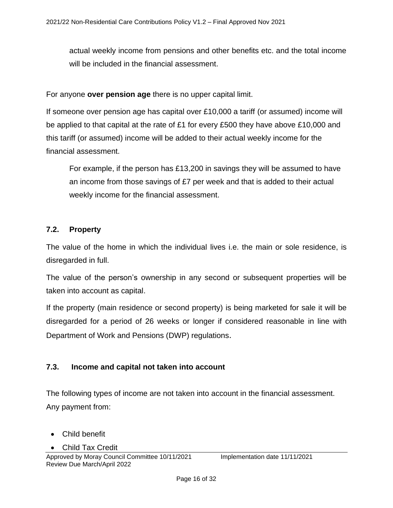actual weekly income from pensions and other benefits etc. and the total income will be included in the financial assessment.

For anyone **over pension age** there is no upper capital limit.

If someone over pension age has capital over £10,000 a tariff (or assumed) income will be applied to that capital at the rate of £1 for every £500 they have above £10,000 and this tariff (or assumed) income will be added to their actual weekly income for the financial assessment.

For example, if the person has £13,200 in savings they will be assumed to have an income from those savings of £7 per week and that is added to their actual weekly income for the financial assessment.

#### <span id="page-15-0"></span>**7.2. Property**

The value of the home in which the individual lives i.e. the main or sole residence, is disregarded in full.

The value of the person's ownership in any second or subsequent properties will be taken into account as capital.

If the property (main residence or second property) is being marketed for sale it will be disregarded for a period of 26 weeks or longer if considered reasonable in line with Department of Work and Pensions (DWP) regulations.

#### <span id="page-15-1"></span>**7.3. Income and capital not taken into account**

The following types of income are not taken into account in the financial assessment. Any payment from:

- Child benefit
- Child Tax Credit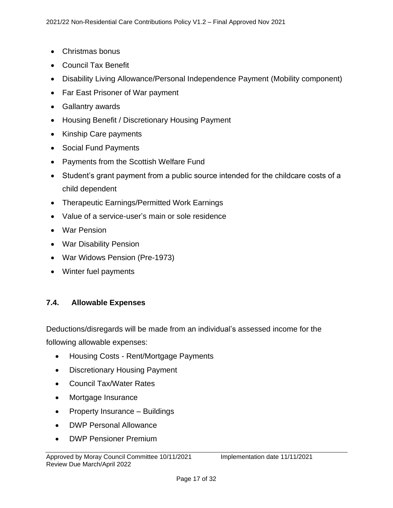- Christmas bonus
- Council Tax Benefit
- Disability Living Allowance/Personal Independence Payment (Mobility component)
- Far East Prisoner of War payment
- Gallantry awards
- Housing Benefit / Discretionary Housing Payment
- Kinship Care payments
- Social Fund Payments
- Payments from the Scottish Welfare Fund
- Student's grant payment from a public source intended for the childcare costs of a child dependent
- Therapeutic Earnings/Permitted Work Earnings
- Value of a service-user's main or sole residence
- War Pension
- War Disability Pension
- War Widows Pension (Pre-1973)
- Winter fuel payments

#### <span id="page-16-0"></span>**7.4. Allowable Expenses**

Deductions/disregards will be made from an individual's assessed income for the following allowable expenses:

- Housing Costs Rent/Mortgage Payments
- Discretionary Housing Payment
- Council Tax/Water Rates
- Mortgage Insurance
- Property Insurance Buildings
- DWP Personal Allowance
- DWP Pensioner Premium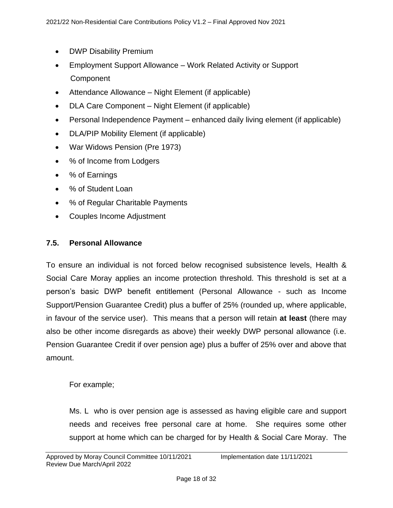- DWP Disability Premium
- Employment Support Allowance Work Related Activity or Support **Component**
- Attendance Allowance Night Element (if applicable)
- DLA Care Component Night Element (if applicable)
- Personal Independence Payment enhanced daily living element (if applicable)
- DLA/PIP Mobility Element (if applicable)
- War Widows Pension (Pre 1973)
- % of Income from Lodgers
- % of Earnings
- % of Student Loan
- % of Regular Charitable Payments
- Couples Income Adjustment

#### <span id="page-17-0"></span>**7.5. Personal Allowance**

To ensure an individual is not forced below recognised subsistence levels, Health & Social Care Moray applies an income protection threshold. This threshold is set at a person's basic DWP benefit entitlement (Personal Allowance - such as Income Support/Pension Guarantee Credit) plus a buffer of 25% (rounded up, where applicable, in favour of the service user). This means that a person will retain **at least** (there may also be other income disregards as above) their weekly DWP personal allowance (i.e. Pension Guarantee Credit if over pension age) plus a buffer of 25% over and above that amount.

For example;

Ms. L who is over pension age is assessed as having eligible care and support needs and receives free personal care at home. She requires some other support at home which can be charged for by Health & Social Care Moray. The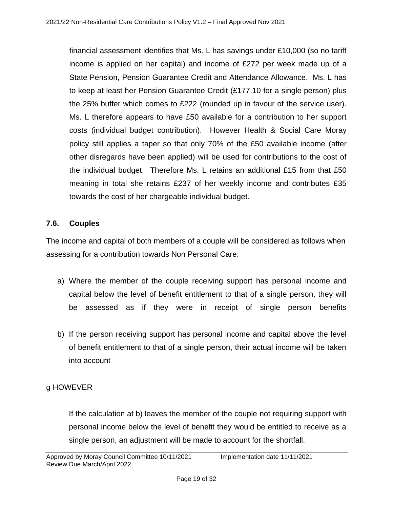financial assessment identifies that Ms. L has savings under £10,000 (so no tariff income is applied on her capital) and income of £272 per week made up of a State Pension, Pension Guarantee Credit and Attendance Allowance. Ms. L has to keep at least her Pension Guarantee Credit (£177.10 for a single person) plus the 25% buffer which comes to £222 (rounded up in favour of the service user). Ms. L therefore appears to have £50 available for a contribution to her support costs (individual budget contribution). However Health & Social Care Moray policy still applies a taper so that only 70% of the £50 available income (after other disregards have been applied) will be used for contributions to the cost of the individual budget. Therefore Ms. L retains an additional £15 from that £50 meaning in total she retains £237 of her weekly income and contributes £35 towards the cost of her chargeable individual budget.

#### <span id="page-18-0"></span>**7.6. Couples**

The income and capital of both members of a couple will be considered as follows when assessing for a contribution towards Non Personal Care:

- a) Where the member of the couple receiving support has personal income and capital below the level of benefit entitlement to that of a single person, they will be assessed as if they were in receipt of single person benefits
- b) If the person receiving support has personal income and capital above the level of benefit entitlement to that of a single person, their actual income will be taken into account

#### g HOWEVER

If the calculation at b) leaves the member of the couple not requiring support with personal income below the level of benefit they would be entitled to receive as a single person, an adjustment will be made to account for the shortfall.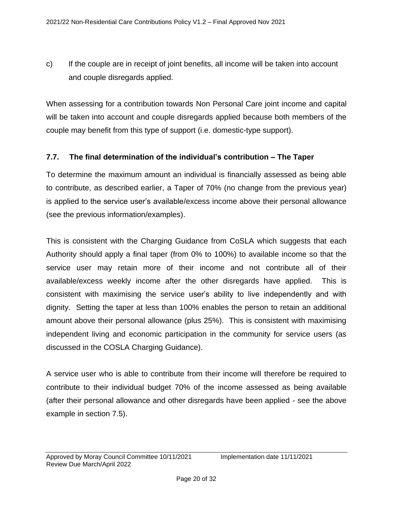c) If the couple are in receipt of joint benefits, all income will be taken into account and couple disregards applied.

When assessing for a contribution towards Non Personal Care joint income and capital will be taken into account and couple disregards applied because both members of the couple may benefit from this type of support (i.e. domestic-type support).

#### **7.7. The final determination of the individual's contribution – The Taper**

To determine the maximum amount an individual is financially assessed as being able to contribute, as described earlier, a Taper of 70% (no change from the previous year) is applied to the service user's available/excess income above their personal allowance (see the previous information/examples).

This is consistent with the Charging Guidance from CoSLA which suggests that each Authority should apply a final taper (from 0% to 100%) to available income so that the service user may retain more of their income and not contribute all of their available/excess weekly income after the other disregards have applied. This is consistent with maximising the service user's ability to live independently and with dignity. Setting the taper at less than 100% enables the person to retain an additional amount above their personal allowance (plus 25%). This is consistent with maximising independent living and economic participation in the community for service users (as discussed in the COSLA Charging Guidance).

A service user who is able to contribute from their income will therefore be required to contribute to their individual budget 70% of the income assessed as being available (after their personal allowance and other disregards have been applied - see the above example in section 7.5).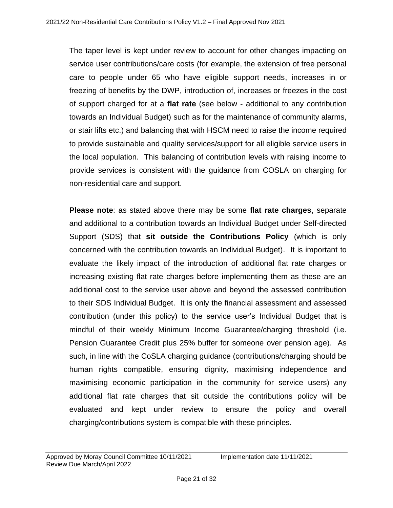The taper level is kept under review to account for other changes impacting on service user contributions/care costs (for example, the extension of free personal care to people under 65 who have eligible support needs, increases in or freezing of benefits by the DWP, introduction of, increases or freezes in the cost of support charged for at a **flat rate** (see below - additional to any contribution towards an Individual Budget) such as for the maintenance of community alarms, or stair lifts etc.) and balancing that with HSCM need to raise the income required to provide sustainable and quality services/support for all eligible service users in the local population. This balancing of contribution levels with raising income to provide services is consistent with the guidance from COSLA on charging for non-residential care and support.

**Please note**: as stated above there may be some **flat rate charges**, separate and additional to a contribution towards an Individual Budget under Self-directed Support (SDS) that **sit outside the Contributions Policy** (which is only concerned with the contribution towards an Individual Budget). It is important to evaluate the likely impact of the introduction of additional flat rate charges or increasing existing flat rate charges before implementing them as these are an additional cost to the service user above and beyond the assessed contribution to their SDS Individual Budget. It is only the financial assessment and assessed contribution (under this policy) to the service user's Individual Budget that is mindful of their weekly Minimum Income Guarantee/charging threshold (i.e. Pension Guarantee Credit plus 25% buffer for someone over pension age). As such, in line with the CoSLA charging guidance (contributions/charging should be human rights compatible, ensuring dignity, maximising independence and maximising economic participation in the community for service users) any additional flat rate charges that sit outside the contributions policy will be evaluated and kept under review to ensure the policy and overall charging/contributions system is compatible with these principles.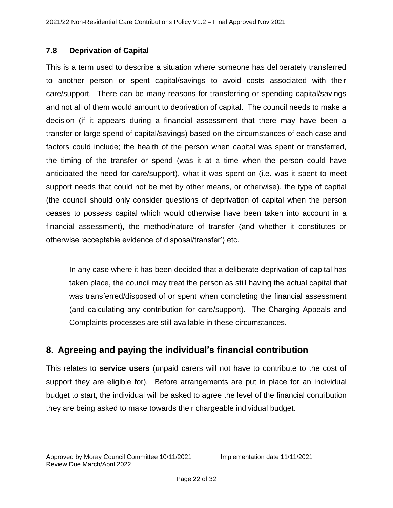#### **7.8 Deprivation of Capital**

This is a term used to describe a situation where someone has deliberately transferred to another person or spent capital/savings to avoid costs associated with their care/support. There can be many reasons for transferring or spending capital/savings and not all of them would amount to deprivation of capital. The council needs to make a decision (if it appears during a financial assessment that there may have been a transfer or large spend of capital/savings) based on the circumstances of each case and factors could include; the health of the person when capital was spent or transferred, the timing of the transfer or spend (was it at a time when the person could have anticipated the need for care/support), what it was spent on (i.e. was it spent to meet support needs that could not be met by other means, or otherwise), the type of capital (the council should only consider questions of deprivation of capital when the person ceases to possess capital which would otherwise have been taken into account in a financial assessment), the method/nature of transfer (and whether it constitutes or otherwise 'acceptable evidence of disposal/transfer') etc.

In any case where it has been decided that a deliberate deprivation of capital has taken place, the council may treat the person as still having the actual capital that was transferred/disposed of or spent when completing the financial assessment (and calculating any contribution for care/support). The Charging Appeals and Complaints processes are still available in these circumstances.

## **8. Agreeing and paying the individual's financial contribution**

This relates to **service users** (unpaid carers will not have to contribute to the cost of support they are eligible for). Before arrangements are put in place for an individual budget to start, the individual will be asked to agree the level of the financial contribution they are being asked to make towards their chargeable individual budget.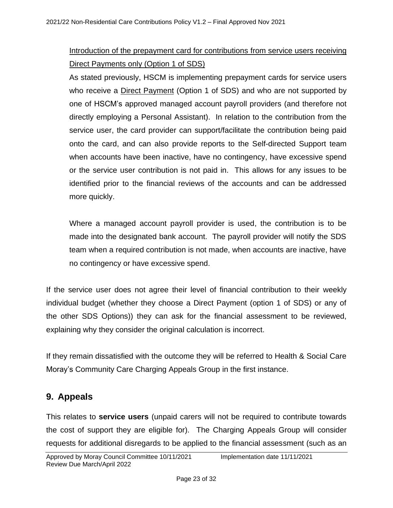## Introduction of the prepayment card for contributions from service users receiving Direct Payments only (Option 1 of SDS)

As stated previously, HSCM is implementing prepayment cards for service users who receive a Direct Payment (Option 1 of SDS) and who are not supported by one of HSCM's approved managed account payroll providers (and therefore not directly employing a Personal Assistant). In relation to the contribution from the service user, the card provider can support/facilitate the contribution being paid onto the card, and can also provide reports to the Self-directed Support team when accounts have been inactive, have no contingency, have excessive spend or the service user contribution is not paid in. This allows for any issues to be identified prior to the financial reviews of the accounts and can be addressed more quickly.

Where a managed account payroll provider is used, the contribution is to be made into the designated bank account. The payroll provider will notify the SDS team when a required contribution is not made, when accounts are inactive, have no contingency or have excessive spend.

If the service user does not agree their level of financial contribution to their weekly individual budget (whether they choose a Direct Payment (option 1 of SDS) or any of the other SDS Options)) they can ask for the financial assessment to be reviewed, explaining why they consider the original calculation is incorrect.

If they remain dissatisfied with the outcome they will be referred to Health & Social Care Moray's Community Care Charging Appeals Group in the first instance.

## <span id="page-22-0"></span>**9. Appeals**

This relates to **service users** (unpaid carers will not be required to contribute towards the cost of support they are eligible for). The Charging Appeals Group will consider requests for additional disregards to be applied to the financial assessment (such as an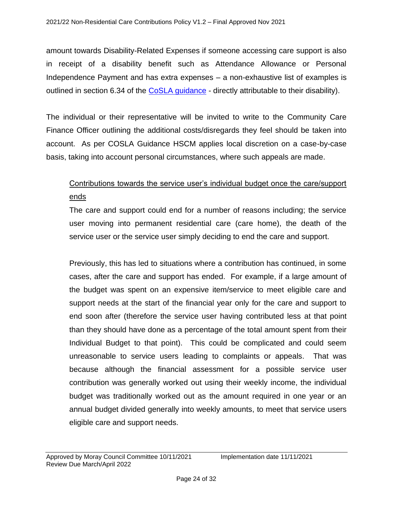amount towards Disability-Related Expenses if someone accessing care support is also in receipt of a disability benefit such as Attendance Allowance or Personal Independence Payment and has extra expenses – a non-exhaustive list of examples is outlined in section 6.34 of the [CoSLA guidance](https://www.cosla.gov.uk/about-cosla/our-teams/health-and-social-care/social-care-charging-information) - directly attributable to their disability).

The individual or their representative will be invited to write to the Community Care Finance Officer outlining the additional costs/disregards they feel should be taken into account. As per COSLA Guidance HSCM applies local discretion on a case-by-case basis, taking into account personal circumstances, where such appeals are made.

## Contributions towards the service user's individual budget once the care/support ends

The care and support could end for a number of reasons including; the service user moving into permanent residential care (care home), the death of the service user or the service user simply deciding to end the care and support.

Previously, this has led to situations where a contribution has continued, in some cases, after the care and support has ended. For example, if a large amount of the budget was spent on an expensive item/service to meet eligible care and support needs at the start of the financial year only for the care and support to end soon after (therefore the service user having contributed less at that point than they should have done as a percentage of the total amount spent from their Individual Budget to that point). This could be complicated and could seem unreasonable to service users leading to complaints or appeals. That was because although the financial assessment for a possible service user contribution was generally worked out using their weekly income, the individual budget was traditionally worked out as the amount required in one year or an annual budget divided generally into weekly amounts, to meet that service users eligible care and support needs.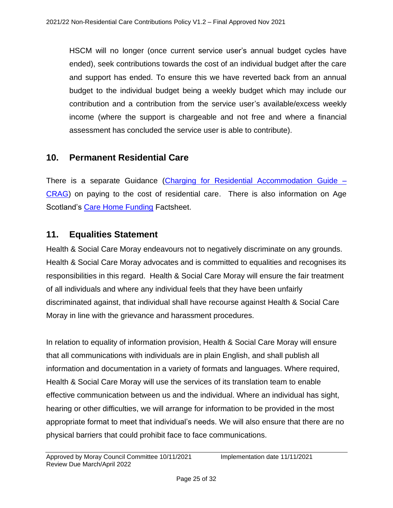HSCM will no longer (once current service user's annual budget cycles have ended), seek contributions towards the cost of an individual budget after the care and support has ended. To ensure this we have reverted back from an annual budget to the individual budget being a weekly budget which may include our contribution and a contribution from the service user's available/excess weekly income (where the support is chargeable and not free and where a financial assessment has concluded the service user is able to contribute).

#### <span id="page-24-0"></span>**10. Permanent Residential Care**

There is a separate Guidance [\(Charging for Residential Accommodation Guide –](https://www.gov.scot/policies/social-care/social-care-support/#care homes) [CRAG\)](https://www.gov.scot/policies/social-care/social-care-support/#care homes) on paying to the cost of residential care. There is also information on Age Scotland's [Care Home Funding](https://www.ageuk.org.uk/scotland/information-advice/care-and-support/care-homes/) Factsheet.

#### **11. Equalities Statement**

Health & Social Care Moray endeavours not to negatively discriminate on any grounds. Health & Social Care Moray advocates and is committed to equalities and recognises its responsibilities in this regard. Health & Social Care Moray will ensure the fair treatment of all individuals and where any individual feels that they have been unfairly discriminated against, that individual shall have recourse against Health & Social Care Moray in line with the grievance and harassment procedures.

In relation to equality of information provision, Health & Social Care Moray will ensure that all communications with individuals are in plain English, and shall publish all information and documentation in a variety of formats and languages. Where required, Health & Social Care Moray will use the services of its translation team to enable effective communication between us and the individual. Where an individual has sight, hearing or other difficulties, we will arrange for information to be provided in the most appropriate format to meet that individual's needs. We will also ensure that there are no physical barriers that could prohibit face to face communications.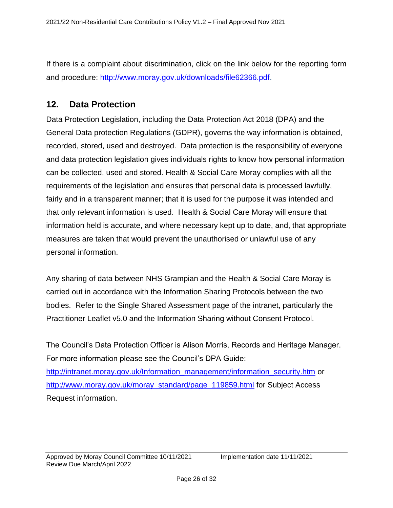If there is a complaint about discrimination, click on the link below for the reporting form and procedure: [http://www.moray.gov.uk/downloads/file62366.pdf.](http://www.moray.gov.uk/downloads/file62366.pdf)

### <span id="page-25-0"></span>**12. Data Protection**

Data Protection Legislation, including the Data Protection Act 2018 (DPA) and the General Data protection Regulations (GDPR), governs the way information is obtained, recorded, stored, used and destroyed. Data protection is the responsibility of everyone and data protection legislation gives individuals rights to know how personal information can be collected, used and stored. Health & Social Care Moray complies with all the requirements of the legislation and ensures that personal data is processed lawfully, fairly and in a transparent manner; that it is used for the purpose it was intended and that only relevant information is used. Health & Social Care Moray will ensure that information held is accurate, and where necessary kept up to date, and, that appropriate measures are taken that would prevent the unauthorised or unlawful use of any personal information.

Any sharing of data between NHS Grampian and the Health & Social Care Moray is carried out in accordance with the Information Sharing Protocols between the two bodies. Refer to the Single Shared Assessment page of the intranet, particularly the Practitioner Leaflet v5.0 and the Information Sharing without Consent Protocol.

The Council's Data Protection Officer is Alison Morris, Records and Heritage Manager. For more information please see the Council's DPA Guide: [http://intranet.moray.gov.uk/Information\\_management/information\\_security.htm](http://intranet.moray.gov.uk/Information_management/information_security.htm) or [http://www.moray.gov.uk/moray\\_standard/page\\_119859.html](http://www.moray.gov.uk/moray_standard/page_119859.html) for Subject Access Request information.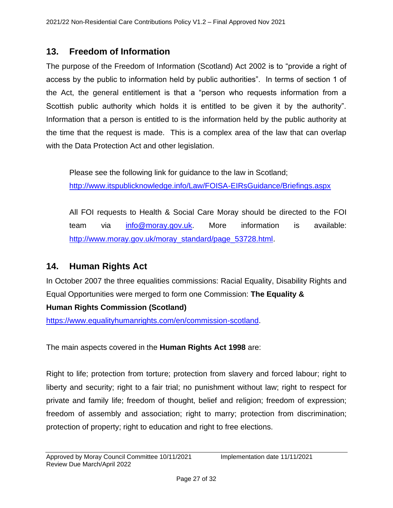### <span id="page-26-0"></span>**13. Freedom of Information**

The purpose of the Freedom of Information (Scotland) Act 2002 is to "provide a right of access by the public to information held by public authorities". In terms of section 1 of the Act, the general entitlement is that a "person who requests information from a Scottish public authority which holds it is entitled to be given it by the authority". Information that a person is entitled to is the information held by the public authority at the time that the request is made. This is a complex area of the law that can overlap with the Data Protection Act and other legislation.

Please see the following link for guidance to the law in Scotland; <http://www.itspublicknowledge.info/Law/FOISA-EIRsGuidance/Briefings.aspx>

All FOI requests to Health & Social Care Moray should be directed to the FOI team via [info@moray.gov.uk.](mailto:info@moray.gov.uk) More information is available: [http://www.moray.gov.uk/moray\\_standard/page\\_53728.html.](http://www.moray.gov.uk/moray_standard/page_53728.html)

## <span id="page-26-1"></span>**14. Human Rights Act**

In October 2007 the three equalities commissions: Racial Equality, Disability Rights and Equal Opportunities were merged to form one Commission: **The Equality &** 

#### **Human Rights Commission (Scotland)**

[https://www.equalityhumanrights.com/en/commission-scotland.](https://www.equalityhumanrights.com/en/commission-scotland)

The main aspects covered in the **Human Rights Act 1998** are:

Right to life; protection from torture; protection from slavery and forced labour; right to liberty and security; right to a fair trial; no punishment without law; right to respect for private and family life; freedom of thought, belief and religion; freedom of expression; freedom of assembly and association; right to marry; protection from discrimination; protection of property; right to education and right to free elections.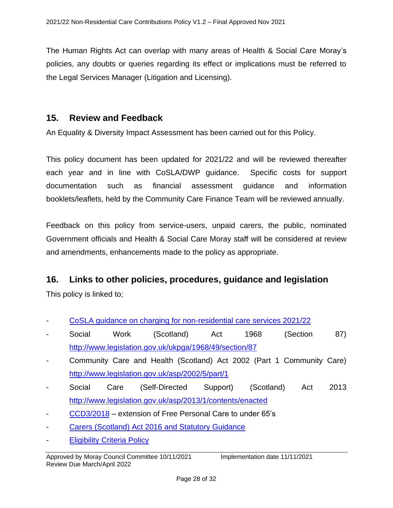The Human Rights Act can overlap with many areas of Health & Social Care Moray's policies, any doubts or queries regarding its effect or implications must be referred to the Legal Services Manager (Litigation and Licensing).

#### <span id="page-27-0"></span>**15. Review and Feedback**

An Equality & Diversity Impact Assessment has been carried out for this Policy.

This policy document has been updated for 2021/22 and will be reviewed thereafter each year and in line with CoSLA/DWP guidance. Specific costs for support documentation such as financial assessment guidance and information booklets/leaflets, held by the Community Care Finance Team will be reviewed annually.

Feedback on this policy from service-users, unpaid carers, the public, nominated Government officials and Health & Social Care Moray staff will be considered at review and amendments, enhancements made to the policy as appropriate.

#### **16. Links to other policies, procedures, guidance and legislation**

This policy is linked to;

- [CoSLA guidance on charging for non-residential care services 2021/22](https://www.cosla.gov.uk/about-cosla/our-teams/health-and-social-care/social-care-charging-information)
- Social Work (Scotland) Act 1968 (Section 87) <http://www.legislation.gov.uk/ukpga/1968/49/section/87>
- Community Care and Health (Scotland) Act 2002 (Part 1 Community Care) <http://www.legislation.gov.uk/asp/2002/5/part/1>
- Social Care (Self-Directed Support) (Scotland) Act 2013 <http://www.legislation.gov.uk/asp/2013/1/contents/enacted>
- [CCD3/2018](https://www.sehd.scot.nhs.uk/publications/CC2018_03.pdf) extension of Free Personal Care to under 65's
- [Carers \(Scotland\) Act 2016 and Statutory Guidance](https://www2.gov.scot/Topics/Health/Support-Social-Care/Unpaid-Carers/Implementation/Guidance)
- **[Eligibility Criteria Policy](http://interchange.moray.gov.uk/int_standard/Page_132716.html)**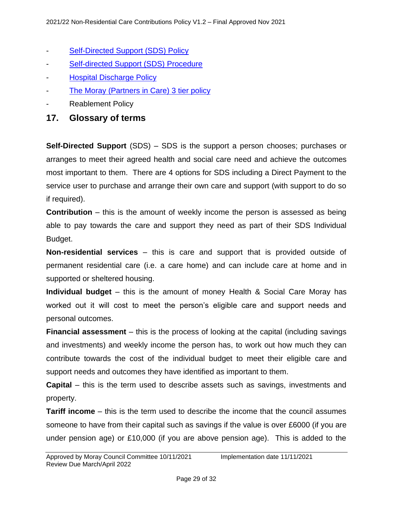- [Self-Directed Support \(SDS\) Policy](http://community.moray.gov.uk/Care/selfdirected/Shared%20Documents/Forms/AllItems.aspx)
- [Self-directed Support \(SDS\) Procedure](http://community.moray.gov.uk/Care/selfdirected/Shared%20Documents/Forms/AllItems.aspx)
- **[Hospital Discharge Policy](http://interchange.moray.gov.uk/int_standard/Page_132716.html)**
- [The Moray \(Partners in Care\) 3 tier policy](http://interchange.moray.gov.uk/int_standard/Page_132716.html)
- Reablement Policy
- **17. Glossary of terms**

**Self-Directed Support** (SDS) – SDS is the support a person chooses; purchases or arranges to meet their agreed health and social care need and achieve the outcomes most important to them. There are 4 options for SDS including a Direct Payment to the service user to purchase and arrange their own care and support (with support to do so if required).

**Contribution** – this is the amount of weekly income the person is assessed as being able to pay towards the care and support they need as part of their SDS Individual Budget.

**Non-residential services** – this is care and support that is provided outside of permanent residential care (i.e. a care home) and can include care at home and in supported or sheltered housing.

**Individual budget** – this is the amount of money Health & Social Care Moray has worked out it will cost to meet the person's eligible care and support needs and personal outcomes.

**Financial assessment** – this is the process of looking at the capital (including savings and investments) and weekly income the person has, to work out how much they can contribute towards the cost of the individual budget to meet their eligible care and support needs and outcomes they have identified as important to them.

**Capital** – this is the term used to describe assets such as savings, investments and property.

**Tariff income** – this is the term used to describe the income that the council assumes someone to have from their capital such as savings if the value is over £6000 (if you are under pension age) or £10,000 (if you are above pension age). This is added to the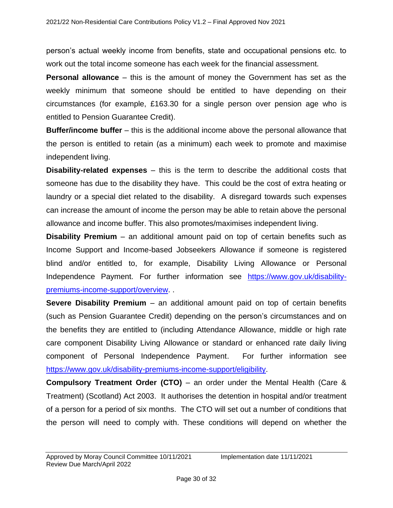person's actual weekly income from benefits, state and occupational pensions etc. to work out the total income someone has each week for the financial assessment.

**Personal allowance** – this is the amount of money the Government has set as the weekly minimum that someone should be entitled to have depending on their circumstances (for example, £163.30 for a single person over pension age who is entitled to Pension Guarantee Credit).

**Buffer/income buffer** – this is the additional income above the personal allowance that the person is entitled to retain (as a minimum) each week to promote and maximise independent living.

**Disability-related expenses** – this is the term to describe the additional costs that someone has due to the disability they have. This could be the cost of extra heating or laundry or a special diet related to the disability. A disregard towards such expenses can increase the amount of income the person may be able to retain above the personal allowance and income buffer. This also promotes/maximises independent living.

**Disability Premium** – an additional amount paid on top of certain benefits such as Income Support and Income-based Jobseekers Allowance if someone is registered blind and/or entitled to, for example, Disability Living Allowance or Personal Independence Payment. For further information see [https://www.gov.uk/disability](https://www.gov.uk/disability-premiums-income-support/overview)[premiums-income-support/overview.](https://www.gov.uk/disability-premiums-income-support/overview) .

**Severe Disability Premium** – an additional amount paid on top of certain benefits (such as Pension Guarantee Credit) depending on the person's circumstances and on the benefits they are entitled to (including Attendance Allowance, middle or high rate care component Disability Living Allowance or standard or enhanced rate daily living component of Personal Independence Payment. For further information see [https://www.gov.uk/disability-premiums-income-support/eligibility.](https://www.gov.uk/disability-premiums-income-support/eligibility)

**Compulsory Treatment Order (CTO)** – an order under the Mental Health (Care & Treatment) (Scotland) Act 2003. It authorises the detention in hospital and/or treatment of a person for a period of six months. The CTO will set out a number of conditions that the person will need to comply with. These conditions will depend on whether the